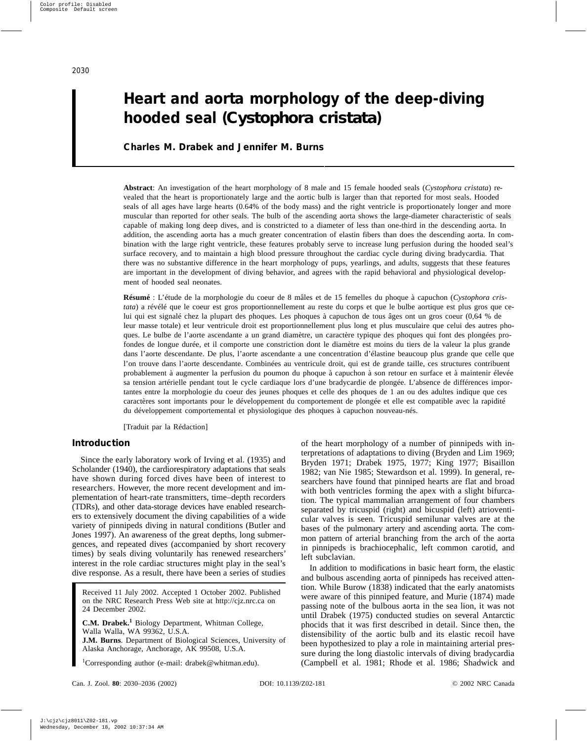# **Heart and aorta morphology of the deep-diving hooded seal (***Cystophora cristata***)**

## **Charles M. Drabek and Jennifer M. Burns**

**Abstract**: An investigation of the heart morphology of 8 male and 15 female hooded seals (*Cystophora cristata*) revealed that the heart is proportionately large and the aortic bulb is larger than that reported for most seals. Hooded seals of all ages have large hearts (0.64% of the body mass) and the right ventricle is proportionately longer and more muscular than reported for other seals. The bulb of the ascending aorta shows the large-diameter characteristic of seals capable of making long deep dives, and is constricted to a diameter of less than one-third in the descending aorta. In addition, the ascending aorta has a much greater concentration of elastin fibers than does the descending aorta. In combination with the large right ventricle, these features probably serve to increase lung perfusion during the hooded seal's surface recovery, and to maintain a high blood pressure throughout the cardiac cycle during diving bradycardia. That there was no substantive difference in the heart morphology of pups, yearlings, and adults, suggests that these features are important in the development of diving behavior, and agrees with the rapid behavioral and physiological development of hooded seal neonates.

**Résumé** : L'étude de la morphologie du coeur de 8 mâles et de 15 femelles du phoque à capuchon (*Cystophora cristata*) a révélé que le coeur est gros proportionnellement au reste du corps et que le bulbe aortique est plus gros que celui qui est signalé chez la plupart des phoques. Les phoques à capuchon de tous âges ont un gros coeur (0,64 % de leur masse totale) et leur ventricule droit est proportionnellement plus long et plus musculaire que celui des autres phoques. Le bulbe de l'aorte ascendante a un grand diamètre, un caractère typique des phoques qui font des plongées profondes de longue durée, et il comporte une constriction dont le diamètre est moins du tiers de la valeur la plus grande dans l'aorte descendante. De plus, l'aorte ascendante a une concentration d'élastine beaucoup plus grande que celle que l'on trouve dans l'aorte descendante. Combinées au ventricule droit, qui est de grande taille, ces structures contribuent probablement à augmenter la perfusion du poumon du phoque à capuchon à son retour en surface et à maintenir élevée sa tension artérielle pendant tout le cycle cardiaque lors d'une bradycardie de plongée. L'absence de différences importantes entre la morphologie du coeur des jeunes phoques et celle des phoques de 1 an ou des adultes indique que ces caractères sont importants pour le développement du comportement de plongée et elle est compatible avec la rapidité du développement comportemental et physiologique des phoques à capuchon nouveau-nés.

[Traduit par la Rédaction]

### **Introduction**

Since the early laboratory work of Irving et al. (1935) and Scholander (1940), the cardiorespiratory adaptations that seals have shown during forced dives have been of interest to researchers. However, the more recent development and implementation of heart-rate transmitters, time–depth recorders (TDRs), and other data-storage devices have enabled researchers to extensively document the diving capabilities of a wide variety of pinnipeds diving in natural conditions (Butler and Jones 1997). An awareness of the great depths, long submergences, and repeated dives (accompanied by short recovery times) by seals diving voluntarily has renewed researchers' interest in the role cardiac structures might play in the seal's dive response. As a result, there have been a series of studies

Received 11 July 2002. Accepted 1 October 2002. Published on the NRC Research Press Web site at http://cjz.nrc.ca on 24 December 2002.

**C.M. Drabek.<sup>1</sup>** Biology Department, Whitman College, Walla Walla, WA 99362, U.S.A.

**J.M. Burns**. Department of Biological Sciences, University of Alaska Anchorage, Anchorage, AK 99508, U.S.A.

1 Corresponding author (e-mail: drabek@whitman.edu).

of the heart morphology of a number of pinnipeds with interpretations of adaptations to diving (Bryden and Lim 1969; Bryden 1971; Drabek 1975, 1977; King 1977; Bisaillon 1982; van Nie 1985; Stewardson et al. 1999). In general, researchers have found that pinniped hearts are flat and broad with both ventricles forming the apex with a slight bifurcation. The typical mammalian arrangement of four chambers separated by tricuspid (right) and bicuspid (left) atrioventicular valves is seen. Tricuspid semilunar valves are at the bases of the pulmonary artery and ascending aorta. The common pattern of arterial branching from the arch of the aorta in pinnipeds is brachiocephalic, left common carotid, and left subclavian.

In addition to modifications in basic heart form, the elastic and bulbous ascending aorta of pinnipeds has received attention. While Burow (1838) indicated that the early anatomists were aware of this pinniped feature, and Murie (1874) made passing note of the bulbous aorta in the sea lion, it was not until Drabek (1975) conducted studies on several Antarctic phocids that it was first described in detail. Since then, the distensibility of the aortic bulb and its elastic recoil have been hypothesized to play a role in maintaining arterial pressure during the long diastolic intervals of diving bradycardia (Campbell et al. 1981; Rhode et al. 1986; Shadwick and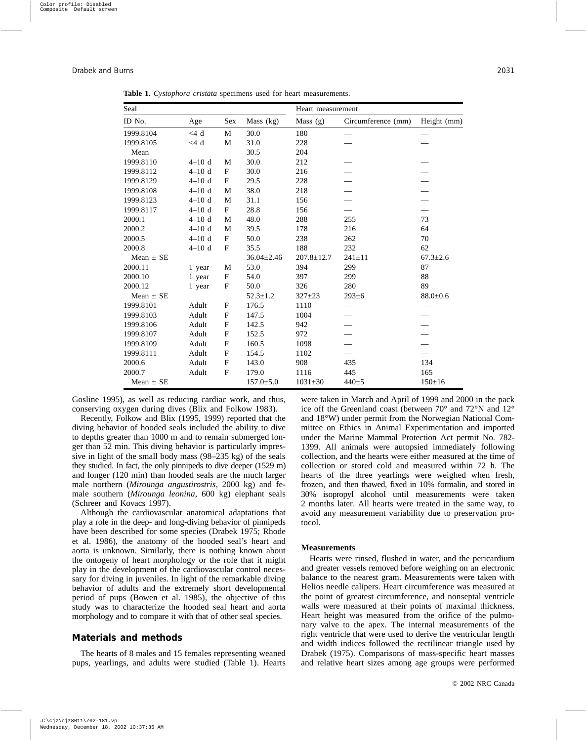| Seal          |           |             | Heart measurement |                  |                    |                |
|---------------|-----------|-------------|-------------------|------------------|--------------------|----------------|
| ID No.        | Age       | <b>Sex</b>  | Mass (kg)         | Mass $(g)$       | Circumference (mm) | Height (mm)    |
| 1999.8104     | $<$ 4 d   | M           | 30.0              | 180              |                    |                |
| 1999.8105     | $<$ 4 d   | M           | 31.0              | 228              |                    |                |
| Mean          |           |             | 30.5              | 204              |                    |                |
| 1999.8110     | $4 - 10d$ | M           | 30.0              | 212              |                    |                |
| 1999.8112     | $4 - 10d$ | F           | 30.0              | 216              |                    |                |
| 1999.8129     | $4 - 10d$ | $_{\rm F}$  | 29.5              | 228              |                    |                |
| 1999.8108     | $4-10d$   | M           | 38.0              | 218              |                    |                |
| 1999.8123     | $4-10d$   | M           | 31.1              | 156              |                    |                |
| 1999.8117     | $4-10d$   | F           | 28.8              | 156              |                    |                |
| 2000.1        | $4-10d$   | M           | 48.0              | 288              | 255                | 73             |
| 2000.2        | $4 - 10d$ | M           | 39.5              | 178              | 216                | 64             |
| 2000.5        | $4-10d$   | F           | 50.0              | 238              | 262                | 70             |
| 2000.8        | $4-10d$   | $\mathbf F$ | 35.5              | 188              | 232                | 62             |
| Mean $\pm$ SE |           |             | $36.04 \pm 2.46$  | $207.8 \pm 12.7$ | $241 \pm 11$       | $67.3 \pm 2.6$ |
| 2000.11       | 1 year    | M           | 53.0              | 394              | 299                | 87             |
| 2000.10       | 1 year    | F           | 54.0              | 397              | 299                | 88             |
| 2000.12       | 1 year    | F           | 50.0              | 326              | 280                | 89             |
| Mean $\pm$ SE |           |             | $52.3 \pm 1.2$    | $327+23$         | $293 \pm 6$        | $88.0 \pm 0.6$ |
| 1999.8101     | Adult     | $\mathbf F$ | 176.5             | 1110             |                    |                |
| 1999.8103     | Adult     | F           | 147.5             | 1004             |                    |                |
| 1999.8106     | Adult     | F           | 142.5             | 942              |                    |                |
| 1999.8107     | Adult     | F           | 152.5             | 972              |                    |                |
| 1999.8109     | Adult     | F           | 160.5             | 1098             |                    |                |
| 1999.8111     | Adult     | $\mathbf F$ | 154.5             | 1102             |                    |                |
| 2000.6        | Adult     | F           | 143.0             | 908              | 435                | 134            |
| 2000.7        | Adult     | $\mathbf F$ | 179.0             | 1116             | 445                | 165            |
| Mean $\pm$ SE |           |             | $157.0 \pm 5.0$   | $1031 \pm 30$    | $440+5$            | $150 \pm 16$   |

**Table 1.** *Cystophora cristata* specimens used for heart measurements.

Gosline 1995), as well as reducing cardiac work, and thus, conserving oxygen during dives (Blix and Folkow 1983).

Recently, Folkow and Blix (1995, 1999) reported that the diving behavior of hooded seals included the ability to dive to depths greater than 1000 m and to remain submerged longer than 52 min. This diving behavior is particularly impressive in light of the small body mass (98–235 kg) of the seals they studied. In fact, the only pinnipeds to dive deeper (1529 m) and longer (120 min) than hooded seals are the much larger male northern (*Mirounga angustirostris*, 2000 kg) and female southern (*Mirounga leonina*, 600 kg) elephant seals (Schreer and Kovacs 1997).

Although the cardiovascular anatomical adaptations that play a role in the deep- and long-diving behavior of pinnipeds have been described for some species (Drabek 1975; Rhode et al. 1986), the anatomy of the hooded seal's heart and aorta is unknown. Similarly, there is nothing known about the ontogeny of heart morphology or the role that it might play in the development of the cardiovascular control necessary for diving in juveniles. In light of the remarkable diving behavior of adults and the extremely short developmental period of pups (Bowen et al. 1985), the objective of this study was to characterize the hooded seal heart and aorta morphology and to compare it with that of other seal species.

#### **Materials and methods**

The hearts of 8 males and 15 females representing weaned pups, yearlings, and adults were studied (Table 1). Hearts were taken in March and April of 1999 and 2000 in the pack ice off the Greenland coast (between 70° and 72°N and 12° and 18°W) under permit from the Norwegian National Committee on Ethics in Animal Experimentation and imported under the Marine Mammal Protection Act permit No. 782- 1399. All animals were autopsied immediately following collection, and the hearts were either measured at the time of collection or stored cold and measured within 72 h. The hearts of the three yearlings were weighed when fresh, frozen, and then thawed, fixed in 10% formalin, and stored in 30% isopropyl alcohol until measurements were taken 2 months later. All hearts were treated in the same way, to avoid any measurement variability due to preservation protocol.

#### **Measurements**

Hearts were rinsed, flushed in water, and the pericardium and greater vessels removed before weighing on an electronic balance to the nearest gram. Measurements were taken with Helios needle calipers. Heart circumference was measured at the point of greatest circumference, and nonseptal ventricle walls were measured at their points of maximal thickness. Heart height was measured from the orifice of the pulmonary valve to the apex. The internal measurements of the right ventricle that were used to derive the ventricular length and width indices followed the rectilinear triangle used by Drabek (1975). Comparisons of mass-specific heart masses and relative heart sizes among age groups were performed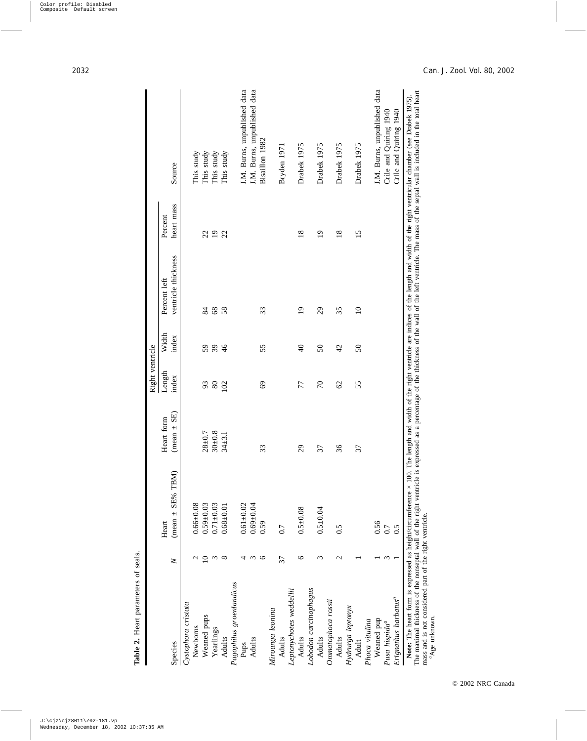|                                                                                                                                                         |                 |                       |                 | Right ventricle |                |                             |                 |                                                                                                                                                                                                                                                                                 |
|---------------------------------------------------------------------------------------------------------------------------------------------------------|-----------------|-----------------------|-----------------|-----------------|----------------|-----------------------------|-----------------|---------------------------------------------------------------------------------------------------------------------------------------------------------------------------------------------------------------------------------------------------------------------------------|
|                                                                                                                                                         |                 | Heart                 | Heart form      | Length          | Width          | Percent left                | Percent         |                                                                                                                                                                                                                                                                                 |
| Species                                                                                                                                                 | $\geq$          | $(mean \pm SE\%$ TBM) | $(mean \pm SE)$ | index           | index          | ventricle thickness         | heart mass      | Source                                                                                                                                                                                                                                                                          |
| Cystophora cristata                                                                                                                                     |                 |                       |                 |                 |                |                             |                 |                                                                                                                                                                                                                                                                                 |
| Newborns                                                                                                                                                |                 | $0.66 + 0.08$         |                 |                 |                |                             |                 | This study                                                                                                                                                                                                                                                                      |
| Weaned pups                                                                                                                                             | $\supseteq$     | $0.59 + 0.03$         | $28 + 0.7$      | 93              | 59             | 84                          | 22              | This study                                                                                                                                                                                                                                                                      |
| Yearlings                                                                                                                                               | $\epsilon$      | $0.71 + 0.03$         | $30 + 0.8$      | 80              | 39             | 68                          | $\overline{1}$  | This study                                                                                                                                                                                                                                                                      |
| Adults                                                                                                                                                  | $\infty$        | $0.68 + 0.01$         | $34 + 3.1$      | 102             | $\frac{9}{4}$  | 58                          | 22              | This study                                                                                                                                                                                                                                                                      |
| Pagophilus groenlandicus                                                                                                                                |                 |                       |                 |                 |                |                             |                 |                                                                                                                                                                                                                                                                                 |
| Pups                                                                                                                                                    | 4               | $0.61 + 0.02$         |                 |                 |                |                             |                 | J.M. Burns, unpublished data                                                                                                                                                                                                                                                    |
| Adults                                                                                                                                                  | 3               | $0.69 + 0.04$         |                 |                 |                |                             |                 | J.M. Burns, unpublished data                                                                                                                                                                                                                                                    |
|                                                                                                                                                         | O               | 0.59                  | 33              | 69              | 55             | 33                          |                 | Bisaillon 1982                                                                                                                                                                                                                                                                  |
| Mirounga leonina                                                                                                                                        |                 |                       |                 |                 |                |                             |                 |                                                                                                                                                                                                                                                                                 |
| Adults                                                                                                                                                  | 37              | 0.7                   |                 |                 |                |                             |                 | Bryden 1971                                                                                                                                                                                                                                                                     |
| Leptonychotes weddellii                                                                                                                                 |                 |                       |                 |                 |                |                             |                 |                                                                                                                                                                                                                                                                                 |
| Adults                                                                                                                                                  | 6               | $0.5 + 0.08$          | 29              | 77              | $\overline{6}$ | $\overline{0}$              | $\frac{8}{18}$  | Drabek 1975                                                                                                                                                                                                                                                                     |
| Lobodon carcinophagus                                                                                                                                   |                 |                       |                 |                 |                |                             |                 |                                                                                                                                                                                                                                                                                 |
| Adults                                                                                                                                                  | $\epsilon$      | $0.5 + 0.04$          | 57              | $\mathcal{L}$   | 50             | $\mathcal{L}^{\mathcal{G}}$ | $\overline{0}$  | Drabek 1975                                                                                                                                                                                                                                                                     |
| Ommatophoca rossii                                                                                                                                      |                 |                       |                 |                 |                |                             |                 |                                                                                                                                                                                                                                                                                 |
| Adults                                                                                                                                                  | $\mathbf{\sim}$ | 0.5                   | 36              | $\mathcal{O}$   | $\overline{c}$ | 35                          | $\frac{8}{18}$  | Drabek 1975                                                                                                                                                                                                                                                                     |
| Hydrurga leptonyx                                                                                                                                       |                 |                       |                 |                 |                |                             |                 |                                                                                                                                                                                                                                                                                 |
| Adult                                                                                                                                                   |                 |                       | 37              | 55              | $50\,$         | $\Omega$                    | $\overline{15}$ | Drabek 1975                                                                                                                                                                                                                                                                     |
| Phoca vitulina                                                                                                                                          |                 |                       |                 |                 |                |                             |                 |                                                                                                                                                                                                                                                                                 |
| Weaned pup                                                                                                                                              |                 | $0.56$<br>0.7         |                 |                 |                |                             |                 | J.M. Burns, unpublished data                                                                                                                                                                                                                                                    |
| Pusa hispida <sup>a</sup>                                                                                                                               |                 |                       |                 |                 |                |                             |                 | Crile and Quiring 1940                                                                                                                                                                                                                                                          |
| Erignathus barbatus <sup>a</sup>                                                                                                                        |                 | 0.5                   |                 |                 |                |                             |                 | Crile and Quiring 1940                                                                                                                                                                                                                                                          |
| The maximal thickness of the nonseptal wall of the right ventricle is<br><b>Note:</b> The heart form is expressed as height/circumference $\times$ 100. |                 |                       |                 |                 |                |                             |                 | expressed as a percentage of the thickness of the wall of the left ventricle. The mass of the septal wall is included in the total heart<br>The length and width of the right ventricle are indices of the length and width of the right ventricular chamber (see Drabek 1975). |
| mass and is not considered part of the right ventricle.<br>${}^a$ Age unknown.                                                                          |                 |                       |                 |                 |                |                             |                 |                                                                                                                                                                                                                                                                                 |
|                                                                                                                                                         |                 |                       |                 |                 |                |                             |                 |                                                                                                                                                                                                                                                                                 |

Table 2. Heart parameters of seals.

**Table 2.** Heart parameters of seals.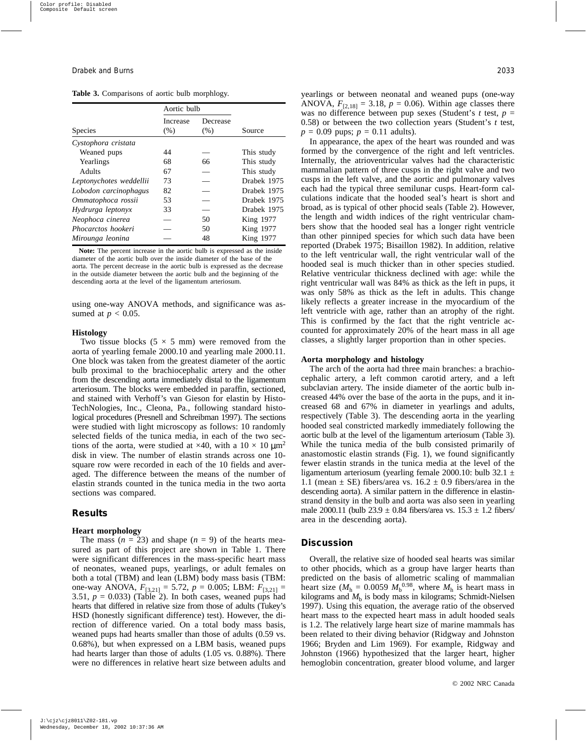|  | Table 3. Comparisons of aortic bulb morphlogy. |  |  |  |
|--|------------------------------------------------|--|--|--|
|--|------------------------------------------------|--|--|--|

|                         | Aortic bulb |          |             |
|-------------------------|-------------|----------|-------------|
|                         | Increase    | Decrease |             |
| <b>Species</b>          | (% )        | (% )     | Source      |
| Cystophora cristata     |             |          |             |
| Weaned pups             | 44          |          | This study  |
| Yearlings               | 68          | 66       | This study  |
| Adults                  | 67          |          | This study  |
| Leptonychotes weddellii | 73          |          | Drabek 1975 |
| Lobodon carcinophagus   | 82          |          | Drabek 1975 |
| Ommatophoca rossii      | 53          |          | Drabek 1975 |
| Hydrurga leptonyx       | 33          |          | Drabek 1975 |
| Neophoca cinerea        |             | 50       | King 1977   |
| Phocarctos hookeri      |             | 50       | King 1977   |
| Mirounga leonina        |             | 48       | King 1977   |

**Note:** The percent increase in the aortic bulb is expressed as the inside diameter of the aortic bulb over the inside diameter of the base of the aorta. The percent decrease in the aortic bulb is expressed as the decrease in the outside diameter between the aortic bulb and the beginning of the descending aorta at the level of the ligamentum arteriosum.

using one-way ANOVA methods, and significance was assumed at  $p < 0.05$ .

#### **Histology**

Two tissue blocks  $(5 \times 5 \text{ mm})$  were removed from the aorta of yearling female 2000.10 and yearling male 2000.11. One block was taken from the greatest diameter of the aortic bulb proximal to the brachiocephalic artery and the other from the descending aorta immediately distal to the ligamentum arteriosum. The blocks were embedded in paraffin, sectioned, and stained with Verhoff's van Gieson for elastin by Histo-TechNologies, Inc., Cleona, Pa., following standard histological procedures (Presnell and Schreibman 1997). The sections were studied with light microscopy as follows: 10 randomly selected fields of the tunica media, in each of the two sections of the aorta, were studied at  $\times$ 40, with a 10  $\times$  10  $\mu$ m<sup>2</sup> disk in view. The number of elastin strands across one 10 square row were recorded in each of the 10 fields and averaged. The difference between the means of the number of elastin strands counted in the tunica media in the two aorta sections was compared.

#### **Results**

#### **Heart morphology**

The mass  $(n = 23)$  and shape  $(n = 9)$  of the hearts measured as part of this project are shown in Table 1. There were significant differences in the mass-specific heart mass of neonates, weaned pups, yearlings, or adult females on both a total (TBM) and lean (LBM) body mass basis (TBM: one-way ANOVA,  $F_{[3,21]} = 5.72$ ,  $p = 0.005$ ; LBM:  $F_{[3,21]} =$ 3.51,  $p = 0.033$ ) (Table 2). In both cases, weaned pups had hearts that differed in relative size from those of adults (Tukey's HSD (honestly significant difference) test). However, the direction of difference varied. On a total body mass basis, weaned pups had hearts smaller than those of adults (0.59 vs. 0.68%), but when expressed on a LBM basis, weaned pups had hearts larger than those of adults  $(1.05 \text{ vs. } 0.88\%)$ . There were no differences in relative heart size between adults and yearlings or between neonatal and weaned pups (one-way ANOVA,  $F_{[2,18]} = 3.18$ ,  $p = 0.06$ ). Within age classes there was no difference between pup sexes (Student's *t* test, *p* = 0.58) or between the two collection years (Student's *t* test,  $p = 0.09$  pups;  $p = 0.11$  adults).

In appearance, the apex of the heart was rounded and was formed by the convergence of the right and left ventricles. Internally, the atrioventricular valves had the characteristic mammalian pattern of three cusps in the right valve and two cusps in the left valve, and the aortic and pulmonary valves each had the typical three semilunar cusps. Heart-form calculations indicate that the hooded seal's heart is short and broad, as is typical of other phocid seals (Table 2). However, the length and width indices of the right ventricular chambers show that the hooded seal has a longer right ventricle than other pinniped species for which such data have been reported (Drabek 1975; Bisaillon 1982). In addition, relative to the left ventricular wall, the right ventricular wall of the hooded seal is much thicker than in other species studied. Relative ventricular thickness declined with age: while the right ventricular wall was 84% as thick as the left in pups, it was only 58% as thick as the left in adults. This change likely reflects a greater increase in the myocardium of the left ventricle with age, rather than an atrophy of the right. This is confirmed by the fact that the right ventricle accounted for approximately 20% of the heart mass in all age classes, a slightly larger proportion than in other species.

#### **Aorta morphology and histology**

The arch of the aorta had three main branches: a brachiocephalic artery, a left common carotid artery, and a left subclavian artery. The inside diameter of the aortic bulb increased 44% over the base of the aorta in the pups, and it increased 68 and 67% in diameter in yearlings and adults, respectively (Table 3). The descending aorta in the yearling hooded seal constricted markedly immediately following the aortic bulb at the level of the ligamentum arteriosum (Table 3). While the tunica media of the bulb consisted primarily of anastomostic elastin strands (Fig. 1), we found significantly fewer elastin strands in the tunica media at the level of the ligamentum arteriosum (yearling female 2000.10: bulb 32.1  $\pm$ 1.1 (mean  $\pm$  SE) fibers/area vs. 16.2  $\pm$  0.9 fibers/area in the descending aorta). A similar pattern in the difference in elastinstrand density in the bulb and aorta was also seen in yearling male 2000.11 (bulb  $23.9 \pm 0.84$  fibers/area vs.  $15.3 \pm 1.2$  fibers/ area in the descending aorta).

#### **Discussion**

Overall, the relative size of hooded seal hearts was similar to other phocids, which as a group have larger hearts than predicted on the basis of allometric scaling of mammalian heart size ( $M<sub>h</sub> = 0.0059$   $M<sub>b</sub><sup>0.98</sup>$ , where  $M<sub>h</sub>$  is heart mass in kilograms and  $M<sub>b</sub>$  is body mass in kilograms; Schmidt-Nielsen 1997). Using this equation, the average ratio of the observed heart mass to the expected heart mass in adult hooded seals is 1.2. The relatively large heart size of marine mammals has been related to their diving behavior (Ridgway and Johnston 1966; Bryden and Lim 1969). For example, Ridgway and Johnston (1966) hypothesized that the larger heart, higher hemoglobin concentration, greater blood volume, and larger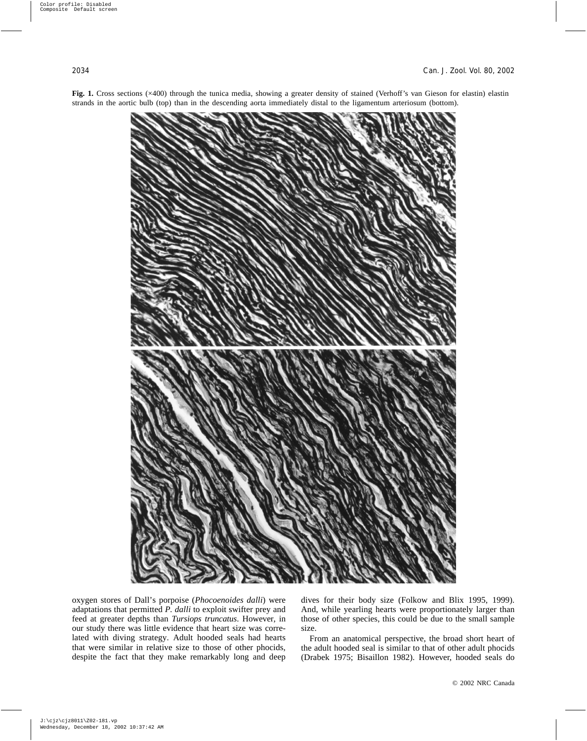

**Fig. 1.** Cross sections (×400) through the tunica media, showing a greater density of stained (Verhoff's van Gieson for elastin) elastin strands in the aortic bulb (top) than in the descending aorta immediately distal to the ligamentum arteriosum (bottom).

oxygen stores of Dall's porpoise (*Phocoenoides dalli*) were adaptations that permitted *P. dalli* to exploit swifter prey and feed at greater depths than *Tursiops truncatus*. However, in our study there was little evidence that heart size was correlated with diving strategy. Adult hooded seals had hearts that were similar in relative size to those of other phocids, despite the fact that they make remarkably long and deep dives for their body size (Folkow and Blix 1995, 1999). And, while yearling hearts were proportionately larger than those of other species, this could be due to the small sample size.

From an anatomical perspective, the broad short heart of the adult hooded seal is similar to that of other adult phocids (Drabek 1975; Bisaillon 1982). However, hooded seals do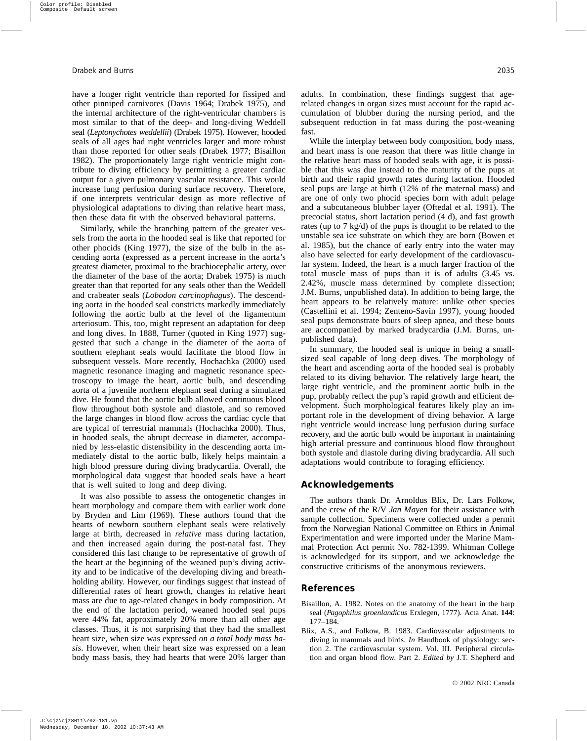have a longer right ventricle than reported for fissiped and other pinniped carnivores (Davis 1964; Drabek 1975), and the internal architecture of the right-ventricular chambers is most similar to that of the deep- and long-diving Weddell seal (*Leptonychotes weddellii*) (Drabek 1975). However, hooded seals of all ages had right ventricles larger and more robust than those reported for other seals (Drabek 1977; Bisaillon 1982). The proportionately large right ventricle might contribute to diving efficiency by permitting a greater cardiac output for a given pulmonary vascular resistance. This would increase lung perfusion during surface recovery. Therefore, if one interprets ventricular design as more reflective of physiological adaptations to diving than relative heart mass, then these data fit with the observed behavioral patterns.

Similarly, while the branching pattern of the greater vessels from the aorta in the hooded seal is like that reported for other phocids (King 1977), the size of the bulb in the ascending aorta (expressed as a percent increase in the aorta's greatest diameter, proximal to the brachiocephalic artery, over the diameter of the base of the aorta; Drabek 1975) is much greater than that reported for any seals other than the Weddell and crabeater seals (*Lobodon carcinophagus*). The descending aorta in the hooded seal constricts markedly immediately following the aortic bulb at the level of the ligamentum arteriosum. This, too, might represent an adaptation for deep and long dives. In 1888, Turner (quoted in King 1977) suggested that such a change in the diameter of the aorta of southern elephant seals would facilitate the blood flow in subsequent vessels. More recently, Hochachka (2000) used magnetic resonance imaging and magnetic resonance spectroscopy to image the heart, aortic bulb, and descending aorta of a juvenile northern elephant seal during a simulated dive. He found that the aortic bulb allowed continuous blood flow throughout both systole and diastole, and so removed the large changes in blood flow across the cardiac cycle that are typical of terrestrial mammals (Hochachka 2000). Thus, in hooded seals, the abrupt decrease in diameter, accompanied by less-elastic distensibility in the descending aorta immediately distal to the aortic bulb, likely helps maintain a high blood pressure during diving bradycardia. Overall, the morphological data suggest that hooded seals have a heart that is well suited to long and deep diving.

It was also possible to assess the ontogenetic changes in heart morphology and compare them with earlier work done by Bryden and Lim (1969). These authors found that the hearts of newborn southern elephant seals were relatively large at birth, decreased in *relative* mass during lactation, and then increased again during the post-natal fast. They considered this last change to be representative of growth of the heart at the beginning of the weaned pup's diving activity and to be indicative of the developing diving and breathholding ability. However, our findings suggest that instead of differential rates of heart growth, changes in relative heart mass are due to age-related changes in body composition. At the end of the lactation period, weaned hooded seal pups were 44% fat, approximately 20% more than all other age classes. Thus, it is not surprising that they had the smallest heart size, when size was expressed *on a total body mass basis*. However, when their heart size was expressed on a lean body mass basis, they had hearts that were 20% larger than adults. In combination, these findings suggest that agerelated changes in organ sizes must account for the rapid accumulation of blubber during the nursing period, and the subsequent reduction in fat mass during the post-weaning fast.

While the interplay between body composition, body mass, and heart mass is one reason that there was little change in the relative heart mass of hooded seals with age, it is possible that this was due instead to the maturity of the pups at birth and their rapid growth rates during lactation. Hooded seal pups are large at birth (12% of the maternal mass) and are one of only two phocid species born with adult pelage and a subcutaneous blubber layer (Oftedal et al. 1991). The precocial status, short lactation period (4 d), and fast growth rates (up to 7 kg/d) of the pups is thought to be related to the unstable sea ice substrate on which they are born (Bowen et al. 1985), but the chance of early entry into the water may also have selected for early development of the cardiovascular system. Indeed, the heart is a much larger fraction of the total muscle mass of pups than it is of adults (3.45 vs. 2.42%, muscle mass determined by complete dissection; J.M. Burns, unpublished data). In addition to being large, the heart appears to be relatively mature: unlike other species (Castellini et al. 1994; Zenteno-Savin 1997), young hooded seal pups demonstrate bouts of sleep apnea, and these bouts are accompanied by marked bradycardia (J.M. Burns, unpublished data).

In summary, the hooded seal is unique in being a smallsized seal capable of long deep dives. The morphology of the heart and ascending aorta of the hooded seal is probably related to its diving behavior. The relatively large heart, the large right ventricle, and the prominent aortic bulb in the pup, probably reflect the pup's rapid growth and efficient development. Such morphological features likely play an important role in the development of diving behavior. A large right ventricle would increase lung perfusion during surface recovery, and the aortic bulb would be important in maintaining high arterial pressure and continuous blood flow throughout both systole and diastole during diving bradycardia. All such adaptations would contribute to foraging efficiency.

#### **Acknowledgements**

The authors thank Dr. Arnoldus Blix, Dr. Lars Folkow, and the crew of the R/V *Jan Mayen* for their assistance with sample collection. Specimens were collected under a permit from the Norwegian National Committee on Ethics in Animal Experimentation and were imported under the Marine Mammal Protection Act permit No. 782-1399. Whitman College is acknowledged for its support, and we acknowledge the constructive criticisms of the anonymous reviewers.

#### **References**

- Bisaillon, A. 1982. Notes on the anatomy of the heart in the harp seal (*Pagophilus groenlandicus* Erxlegen, 1777). Acta Anat. **144**: 177–184.
- Blix, A.S., and Folkow, B. 1983. Cardiovascular adjustments to diving in mammals and birds. *In* Handbook of physiology: section 2. The cardiovascular system. Vol. III. Peripheral circulation and organ blood flow. Part 2. *Edited by* J.T. Shepherd and